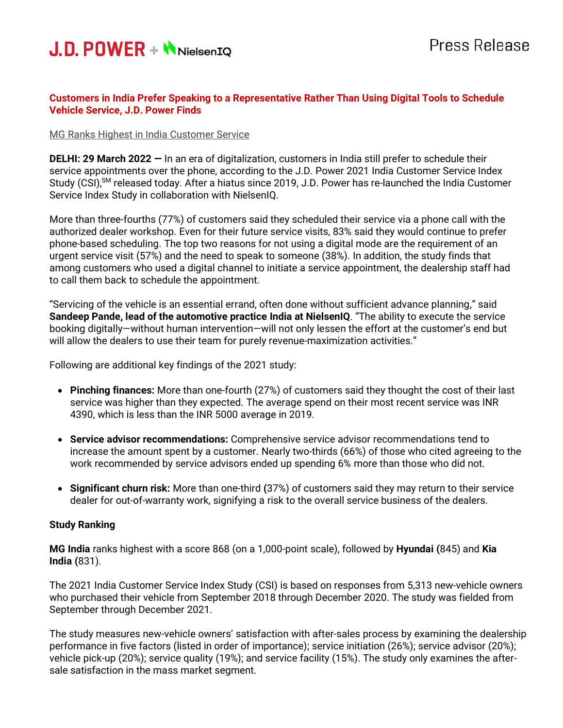

## **Customers in India Prefer Speaking to a Representative Rather Than Using Digital Tools to Schedule Vehicle Service, J.D. Power Finds**

### MG Ranks Highest in India Customer Service

**DELHI: 29 March 2022 —** In an era of digitalization, customers in India still prefer to schedule their service appointments over the phone, according to the J.D. Power 2021 India Customer Service Index Study (CSI),<sup>SM</sup> released today. After a hiatus since 2019, J.D. Power has re-launched the India Customer Service Index Study in collaboration with NielsenIQ.

More than three-fourths (77%) of customers said they scheduled their service via a phone call with the authorized dealer workshop. Even for their future service visits, 83% said they would continue to prefer phone-based scheduling. The top two reasons for not using a digital mode are the requirement of an urgent service visit (57%) and the need to speak to someone (38%). In addition, the study finds that among customers who used a digital channel to initiate a service appointment, the dealership staff had to call them back to schedule the appointment.

"Servicing of the vehicle is an essential errand, often done without sufficient advance planning," said **Sandeep Pande, lead of the automotive practice India at NielsenIQ**. "The ability to execute the service booking digitally—without human intervention—will not only lessen the effort at the customer's end but will allow the dealers to use their team for purely revenue-maximization activities."

Following are additional key findings of the 2021 study:

- **Pinching finances:** More than one-fourth (27%) of customers said they thought the cost of their last service was higher than they expected. The average spend on their most recent service was INR 4390, which is less than the INR 5000 average in 2019.
- **Service advisor recommendations:** Comprehensive service advisor recommendations tend to increase the amount spent by a customer. Nearly two-thirds (66%) of those who cited agreeing to the work recommended by service advisors ended up spending 6% more than those who did not.
- **Significant churn risk:** More than one-third **(**37%) of customers said they may return to their service dealer for out-of-warranty work, signifying a risk to the overall service business of the dealers.

## **Study Ranking**

**MG India** ranks highest with a score 868 (on a 1,000-point scale), followed by **Hyundai (**845) and **Kia India (**831).

The 2021 India Customer Service Index Study (CSI) is based on responses from 5,313 new-vehicle owners who purchased their vehicle from September 2018 through December 2020. The study was fielded from September through December 2021.

The study measures new-vehicle owners' satisfaction with after-sales process by examining the dealership performance in five factors (listed in order of importance); service initiation (26%); service advisor (20%); vehicle pick-up (20%); service quality (19%); and service facility (15%). The study only examines the aftersale satisfaction in the mass market segment.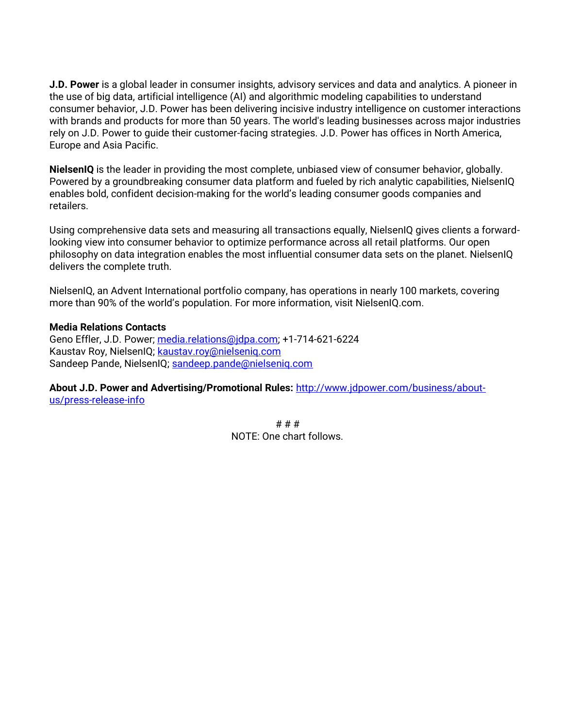**J.D. Power** is a global leader in consumer insights, advisory services and data and analytics. A pioneer in the use of big data, artificial intelligence (AI) and algorithmic modeling capabilities to understand consumer behavior, J.D. Power has been delivering incisive industry intelligence on customer interactions with brands and products for more than 50 years. The world's leading businesses across major industries rely on J.D. Power to guide their customer-facing strategies. J.D. Power has offices in North America, Europe and Asia Pacific.

**NielsenIQ** is the leader in providing the most complete, unbiased view of consumer behavior, globally. Powered by a groundbreaking consumer data platform and fueled by rich analytic capabilities, NielsenIQ enables bold, confident decision-making for the world's leading consumer goods companies and retailers.

Using comprehensive data sets and measuring all transactions equally, NielsenIQ gives clients a forwardlooking view into consumer behavior to optimize performance across all retail platforms. Our open philosophy on data integration enables the most influential consumer data sets on the planet. NielsenIQ delivers the complete truth.

NielsenIQ, an Advent International portfolio company, has operations in nearly 100 markets, covering more than 90% of the world's population. For more information, visit NielsenIQ.com.

#### **Media Relations Contacts**

Geno Effler, J.D. Power; [media.relations@jdpa.com;](mailto:media.relations@jdpa.com) +1-714-621-6224 Kaustav Roy, NielsenIQ; [kaustav.roy@nielseniq.com](mailto:kaustav.roy@nielseniq.com) Sandeep Pande, NielsenIQ; [sandeep.pande@nielseniq.com](mailto:sandeep.pande@nielseniq.com)

**About J.D. Power and Advertising/Promotional Rules:** [http://www.jdpower.com/business/about](http://www.jdpower.com/business/about-us/press-release-info)[us/press-release-info](http://www.jdpower.com/business/about-us/press-release-info)

> # # # NOTE: One chart follows.